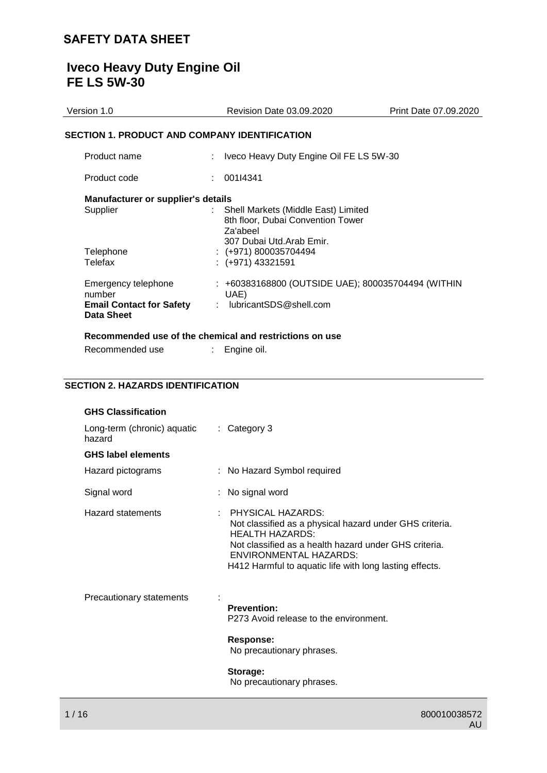# **Iveco Heavy Duty Engine Oil FE LS 5W-30**

| Version 1.0                                                                    | <b>Revision Date 03.09.2020</b>                                                        | Print Date 07.09.2020 |
|--------------------------------------------------------------------------------|----------------------------------------------------------------------------------------|-----------------------|
| SECTION 1. PRODUCT AND COMPANY IDENTIFICATION                                  |                                                                                        |                       |
| Product name                                                                   | Iveco Heavy Duty Engine Oil FE LS 5W-30                                                |                       |
| Product code                                                                   | 001I4341                                                                               |                       |
| Manufacturer or supplier's details<br>Supplier                                 | : Shell Markets (Middle East) Limited<br>8th floor, Dubai Convention Tower<br>Za'abeel |                       |
| Telephone<br>Telefax                                                           | 307 Dubai Utd.Arab Emir.<br>$: (+971) 800035704494$<br>$: (+971)$ 43321591             |                       |
| Emergency telephone<br>number<br><b>Email Contact for Safety</b><br>Data Sheet | : +60383168800 (OUTSIDE UAE); 800035704494 (WITHIN<br>UAE)<br>lubricantSDS@shell.com   |                       |
|                                                                                | Recommended use of the chemical and restrictions on use                                |                       |

| Recommended use | Engine oil. |
|-----------------|-------------|
|                 |             |

### **SECTION 2. HAZARDS IDENTIFICATION**

| <b>GHS Classification</b>                  |                                                                                                                                                                                                                                                             |
|--------------------------------------------|-------------------------------------------------------------------------------------------------------------------------------------------------------------------------------------------------------------------------------------------------------------|
| Long-term (chronic) aquatic<br>hazard      | : Category 3                                                                                                                                                                                                                                                |
| <b>GHS label elements</b>                  |                                                                                                                                                                                                                                                             |
| Hazard pictograms                          | : No Hazard Symbol required                                                                                                                                                                                                                                 |
| Signal word                                | : No signal word                                                                                                                                                                                                                                            |
| Hazard statements<br>$\boldsymbol{\gamma}$ | <b>PHYSICAL HAZARDS:</b><br>Not classified as a physical hazard under GHS criteria.<br><b>HEALTH HAZARDS:</b><br>Not classified as a health hazard under GHS criteria.<br>ENVIRONMENTAL HAZARDS:<br>H412 Harmful to aquatic life with long lasting effects. |
| Precautionary statements                   | <b>Prevention:</b><br>P273 Avoid release to the environment.<br>Response:                                                                                                                                                                                   |
|                                            | No precautionary phrases.                                                                                                                                                                                                                                   |
|                                            | Storage:<br>No precautionary phrases.                                                                                                                                                                                                                       |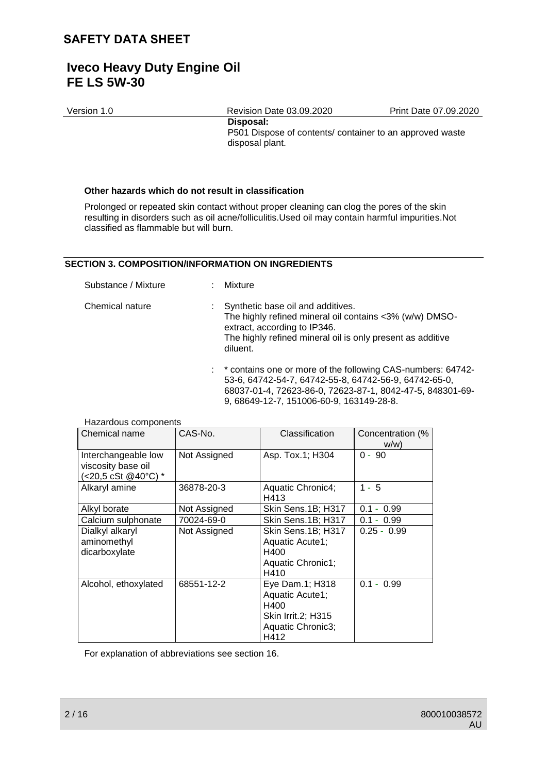### **Iveco Heavy Duty Engine Oil FE LS 5W-30**

| Version 1.0 | <b>Revision Date 03.09.2020</b>                                                          | Print Date 07.09.2020 |
|-------------|------------------------------------------------------------------------------------------|-----------------------|
|             | Disposal:<br>P501 Dispose of contents/ container to an approved waste<br>disposal plant. |                       |

#### **Other hazards which do not result in classification**

Prolonged or repeated skin contact without proper cleaning can clog the pores of the skin resulting in disorders such as oil acne/folliculitis.Used oil may contain harmful impurities.Not classified as flammable but will burn.

#### **SECTION 3. COMPOSITION/INFORMATION ON INGREDIENTS**

Substance / Mixture : Mixture

| Chemical nature | : Synthetic base oil and additives.<br>The highly refined mineral oil contains <3% (w/w) DMSO-<br>extract, according to IP346.<br>The highly refined mineral oil is only present as additive<br>diluent. |
|-----------------|----------------------------------------------------------------------------------------------------------------------------------------------------------------------------------------------------------|
|-----------------|----------------------------------------------------------------------------------------------------------------------------------------------------------------------------------------------------------|

: \* contains one or more of the following CAS-numbers: 64742- 53-6, 64742-54-7, 64742-55-8, 64742-56-9, 64742-65-0, 68037-01-4, 72623-86-0, 72623-87-1, 8042-47-5, 848301-69- 9, 68649-12-7, 151006-60-9, 163149-28-8.

| mazaruvuo vumpunumo  |              |                           |                               |
|----------------------|--------------|---------------------------|-------------------------------|
| Chemical name        | CAS-No.      | Classification            | Concentration (%              |
|                      |              |                           | W/W                           |
| Interchangeable low  | Not Assigned | Asp. Tox.1; H304          | $0 - 90$                      |
| viscosity base oil   |              |                           |                               |
| (<20,5 cSt @40°C) *  |              |                           |                               |
| Alkaryl amine        | 36878-20-3   | Aquatic Chronic4;         | $1 - 5$                       |
|                      |              | H413                      |                               |
| Alkyl borate         | Not Assigned | Skin Sens.1B; H317        | 0.99<br>0.1<br>$\blacksquare$ |
| Calcium sulphonate   | 70024-69-0   | Skin Sens.1B; H317        | $0.1 - 0.99$                  |
| Dialkyl alkaryl      | Not Assigned | Skin Sens.1B; H317        | $0.25 - 0.99$                 |
| aminomethyl          |              | Aquatic Acute1;           |                               |
| dicarboxylate        |              | H400                      |                               |
|                      |              | Aquatic Chronic1;         |                               |
|                      |              | H410                      |                               |
| Alcohol, ethoxylated | 68551-12-2   | Eye Dam.1; H318           | $0.1 - 0.99$                  |
|                      |              | Aquatic Acute1;           |                               |
|                      |              | H400                      |                               |
|                      |              | <b>Skin Irrit.2; H315</b> |                               |
|                      |              | Aquatic Chronic3;         |                               |
|                      |              | H412                      |                               |

### Hazardous components

For explanation of abbreviations see section 16.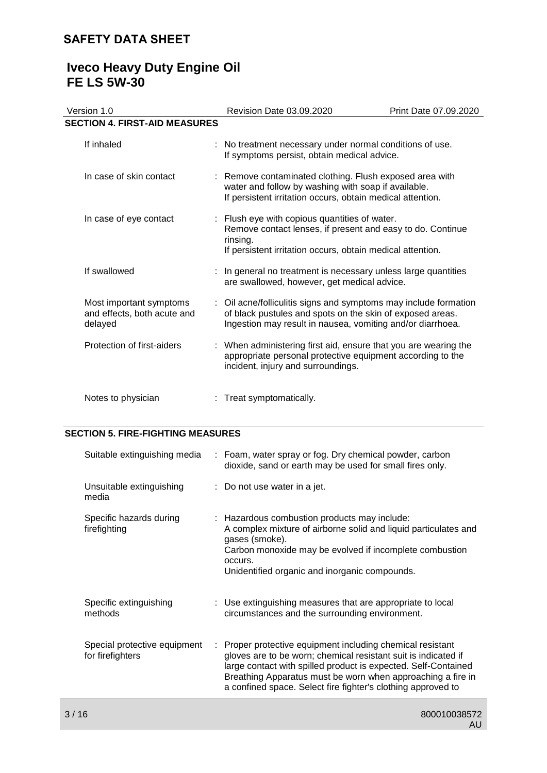### **Iveco Heavy Duty Engine Oil FE LS 5W-30**

| Version 1.0                                                       | Revision Date 03.09.2020                                                                                                                                                                    | Print Date 07.09.2020 |
|-------------------------------------------------------------------|---------------------------------------------------------------------------------------------------------------------------------------------------------------------------------------------|-----------------------|
| <b>SECTION 4. FIRST-AID MEASURES</b>                              |                                                                                                                                                                                             |                       |
| If inhaled                                                        | : No treatment necessary under normal conditions of use.<br>If symptoms persist, obtain medical advice.                                                                                     |                       |
| In case of skin contact                                           | : Remove contaminated clothing. Flush exposed area with<br>water and follow by washing with soap if available.<br>If persistent irritation occurs, obtain medical attention.                |                       |
| In case of eye contact                                            | : Flush eye with copious quantities of water.<br>Remove contact lenses, if present and easy to do. Continue<br>rinsing.<br>If persistent irritation occurs, obtain medical attention.       |                       |
| If swallowed                                                      | : In general no treatment is necessary unless large quantities<br>are swallowed, however, get medical advice.                                                                               |                       |
| Most important symptoms<br>and effects, both acute and<br>delayed | : Oil acne/folliculitis signs and symptoms may include formation<br>of black pustules and spots on the skin of exposed areas.<br>Ingestion may result in nausea, vomiting and/or diarrhoea. |                       |
| Protection of first-aiders                                        | : When administering first aid, ensure that you are wearing the<br>appropriate personal protective equipment according to the<br>incident, injury and surroundings.                         |                       |
| Notes to physician                                                | Treat symptomatically.                                                                                                                                                                      |                       |

### **SECTION 5. FIRE-FIGHTING MEASURES**

| Suitable extinguishing media                     | : Foam, water spray or fog. Dry chemical powder, carbon<br>dioxide, sand or earth may be used for small fires only.                                                                                                                                                                                                           |
|--------------------------------------------------|-------------------------------------------------------------------------------------------------------------------------------------------------------------------------------------------------------------------------------------------------------------------------------------------------------------------------------|
| Unsuitable extinguishing<br>media                | $\therefore$ Do not use water in a jet.                                                                                                                                                                                                                                                                                       |
| Specific hazards during<br>firefighting          | : Hazardous combustion products may include:<br>A complex mixture of airborne solid and liquid particulates and<br>gases (smoke).<br>Carbon monoxide may be evolved if incomplete combustion<br>occurs.<br>Unidentified organic and inorganic compounds.                                                                      |
| Specific extinguishing<br>methods                | : Use extinguishing measures that are appropriate to local<br>circumstances and the surrounding environment.                                                                                                                                                                                                                  |
| Special protective equipment<br>for firefighters | : Proper protective equipment including chemical resistant<br>gloves are to be worn; chemical resistant suit is indicated if<br>large contact with spilled product is expected. Self-Contained<br>Breathing Apparatus must be worn when approaching a fire in<br>a confined space. Select fire fighter's clothing approved to |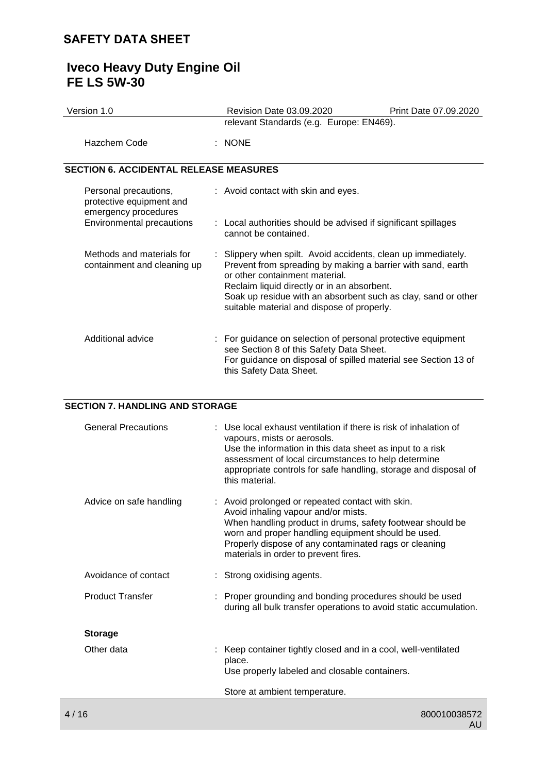### **Iveco Heavy Duty Engine Oil FE LS 5W-30**

| Version 1.0                                                               |  | Revision Date 03.09.2020                                                                                                                                                                                                                                                                                                     | Print Date 07.09.2020 |
|---------------------------------------------------------------------------|--|------------------------------------------------------------------------------------------------------------------------------------------------------------------------------------------------------------------------------------------------------------------------------------------------------------------------------|-----------------------|
|                                                                           |  | relevant Standards (e.g. Europe: EN469).                                                                                                                                                                                                                                                                                     |                       |
| Hazchem Code                                                              |  | $:$ NONE                                                                                                                                                                                                                                                                                                                     |                       |
| <b>SECTION 6. ACCIDENTAL RELEASE MEASURES</b>                             |  |                                                                                                                                                                                                                                                                                                                              |                       |
| Personal precautions,<br>protective equipment and<br>emergency procedures |  | : Avoid contact with skin and eyes.                                                                                                                                                                                                                                                                                          |                       |
| Environmental precautions                                                 |  | : Local authorities should be advised if significant spillages<br>cannot be contained.                                                                                                                                                                                                                                       |                       |
| Methods and materials for<br>containment and cleaning up                  |  | : Slippery when spilt. Avoid accidents, clean up immediately.<br>Prevent from spreading by making a barrier with sand, earth<br>or other containment material.<br>Reclaim liquid directly or in an absorbent.<br>Soak up residue with an absorbent such as clay, sand or other<br>suitable material and dispose of properly. |                       |
| Additional advice                                                         |  | : For guidance on selection of personal protective equipment<br>see Section 8 of this Safety Data Sheet.<br>For guidance on disposal of spilled material see Section 13 of<br>this Safety Data Sheet.                                                                                                                        |                       |

### **SECTION 7. HANDLING AND STORAGE**

| Advice on safe handling<br>: Avoid prolonged or repeated contact with skin.<br>Avoid inhaling vapour and/or mists.<br>When handling product in drums, safety footwear should be | appropriate controls for safe handling, storage and disposal of |
|---------------------------------------------------------------------------------------------------------------------------------------------------------------------------------|-----------------------------------------------------------------|
| worn and proper handling equipment should be used.<br>Properly dispose of any contaminated rags or cleaning<br>materials in order to prevent fires.                             |                                                                 |
| Avoidance of contact<br>: Strong oxidising agents.                                                                                                                              |                                                                 |
| <b>Product Transfer</b><br>: Proper grounding and bonding procedures should be used<br>during all bulk transfer operations to avoid static accumulation.                        |                                                                 |
| <b>Storage</b>                                                                                                                                                                  |                                                                 |
| Other data<br>: Keep container tightly closed and in a cool, well-ventilated<br>place.<br>Use properly labeled and closable containers.                                         |                                                                 |
| Store at ambient temperature.                                                                                                                                                   |                                                                 |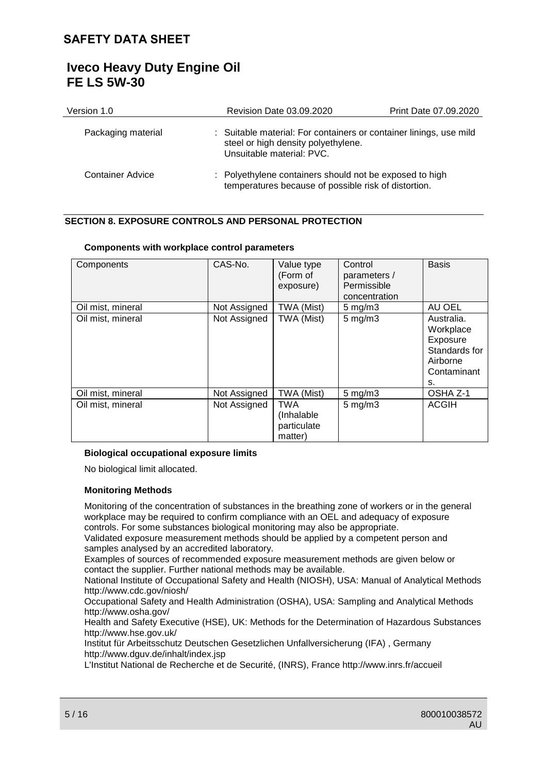| Version 1.0             | Revision Date 03.09.2020                                                                                                               | Print Date 07.09.2020 |
|-------------------------|----------------------------------------------------------------------------------------------------------------------------------------|-----------------------|
| Packaging material      | : Suitable material: For containers or container linings, use mild<br>steel or high density polyethylene.<br>Unsuitable material: PVC. |                       |
| <b>Container Advice</b> | : Polyethylene containers should not be exposed to high<br>temperatures because of possible risk of distortion.                        |                       |

### **SECTION 8. EXPOSURE CONTROLS AND PERSONAL PROTECTION**

#### **Components with workplace control parameters**

| Components        | CAS-No.      | Value type<br>(Form of<br>exposure)                | Control<br>parameters /<br>Permissible<br>concentration | <b>Basis</b>                                                                          |
|-------------------|--------------|----------------------------------------------------|---------------------------------------------------------|---------------------------------------------------------------------------------------|
| Oil mist, mineral | Not Assigned | TWA (Mist)                                         | $5$ mg/m $3$                                            | AU OEL                                                                                |
| Oil mist, mineral | Not Assigned | TWA (Mist)                                         | $5$ mg/m $3$                                            | Australia.<br>Workplace<br>Exposure<br>Standards for<br>Airborne<br>Contaminant<br>s. |
| Oil mist, mineral | Not Assigned | TWA (Mist)                                         | $5 \text{ mg/m}$ 3                                      | OSHA Z-1                                                                              |
| Oil mist, mineral | Not Assigned | <b>TWA</b><br>(Inhalable<br>particulate<br>matter) | $5$ mg/m $3$                                            | <b>ACGIH</b>                                                                          |

#### **Biological occupational exposure limits**

No biological limit allocated.

#### **Monitoring Methods**

Monitoring of the concentration of substances in the breathing zone of workers or in the general workplace may be required to confirm compliance with an OEL and adequacy of exposure controls. For some substances biological monitoring may also be appropriate.

Validated exposure measurement methods should be applied by a competent person and samples analysed by an accredited laboratory.

Examples of sources of recommended exposure measurement methods are given below or contact the supplier. Further national methods may be available.

National Institute of Occupational Safety and Health (NIOSH), USA: Manual of Analytical Methods http://www.cdc.gov/niosh/

Occupational Safety and Health Administration (OSHA), USA: Sampling and Analytical Methods http://www.osha.gov/

Health and Safety Executive (HSE), UK: Methods for the Determination of Hazardous Substances http://www.hse.gov.uk/

Institut für Arbeitsschutz Deutschen Gesetzlichen Unfallversicherung (IFA) , Germany http://www.dguv.de/inhalt/index.jsp

L'Institut National de Recherche et de Securité, (INRS), France http://www.inrs.fr/accueil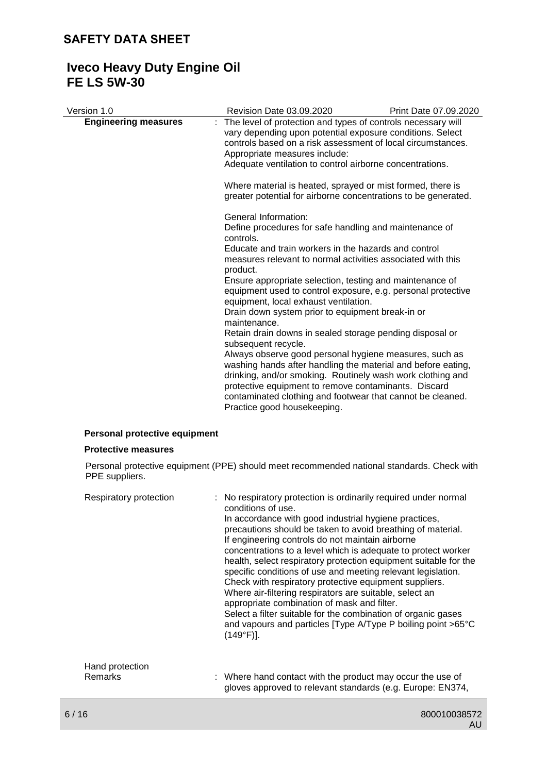# **Iveco Heavy Duty Engine Oil FE LS 5W-30**

| Version 1.0                   | <b>Revision Date 03.09.2020</b>                                                                                                                                                                                                                                                                                                           | Print Date 07.09.2020 |
|-------------------------------|-------------------------------------------------------------------------------------------------------------------------------------------------------------------------------------------------------------------------------------------------------------------------------------------------------------------------------------------|-----------------------|
| <b>Engineering measures</b>   | The level of protection and types of controls necessary will<br>vary depending upon potential exposure conditions. Select<br>controls based on a risk assessment of local circumstances.<br>Appropriate measures include:<br>Adequate ventilation to control airborne concentrations.                                                     |                       |
|                               |                                                                                                                                                                                                                                                                                                                                           |                       |
|                               | Where material is heated, sprayed or mist formed, there is<br>greater potential for airborne concentrations to be generated.                                                                                                                                                                                                              |                       |
|                               | General Information:                                                                                                                                                                                                                                                                                                                      |                       |
|                               | Define procedures for safe handling and maintenance of<br>controls.                                                                                                                                                                                                                                                                       |                       |
|                               | Educate and train workers in the hazards and control<br>measures relevant to normal activities associated with this<br>product.                                                                                                                                                                                                           |                       |
|                               | Ensure appropriate selection, testing and maintenance of<br>equipment used to control exposure, e.g. personal protective<br>equipment, local exhaust ventilation.                                                                                                                                                                         |                       |
|                               | Drain down system prior to equipment break-in or<br>maintenance.                                                                                                                                                                                                                                                                          |                       |
|                               | Retain drain downs in sealed storage pending disposal or<br>subsequent recycle.                                                                                                                                                                                                                                                           |                       |
|                               | Always observe good personal hygiene measures, such as<br>washing hands after handling the material and before eating,<br>drinking, and/or smoking. Routinely wash work clothing and<br>protective equipment to remove contaminants. Discard<br>contaminated clothing and footwear that cannot be cleaned.<br>Practice good housekeeping. |                       |
| Personal protective equipment |                                                                                                                                                                                                                                                                                                                                           |                       |

### **Protective measures**

Personal protective equipment (PPE) should meet recommended national standards. Check with PPE suppliers.

| Respiratory protection | : No respiratory protection is ordinarily required under normal<br>conditions of use.<br>In accordance with good industrial hygiene practices,<br>precautions should be taken to avoid breathing of material.<br>If engineering controls do not maintain airborne<br>concentrations to a level which is adequate to protect worker<br>health, select respiratory protection equipment suitable for the<br>specific conditions of use and meeting relevant legislation.<br>Check with respiratory protective equipment suppliers.<br>Where air-filtering respirators are suitable, select an<br>appropriate combination of mask and filter.<br>Select a filter suitable for the combination of organic gases<br>and vapours and particles [Type A/Type P boiling point >65°C<br>$(149°F)$ ]. |
|------------------------|---------------------------------------------------------------------------------------------------------------------------------------------------------------------------------------------------------------------------------------------------------------------------------------------------------------------------------------------------------------------------------------------------------------------------------------------------------------------------------------------------------------------------------------------------------------------------------------------------------------------------------------------------------------------------------------------------------------------------------------------------------------------------------------------|
| Hand protection        |                                                                                                                                                                                                                                                                                                                                                                                                                                                                                                                                                                                                                                                                                                                                                                                             |
| Remarks                | : Where hand contact with the product may occur the use of<br>gloves approved to relevant standards (e.g. Europe: EN374,                                                                                                                                                                                                                                                                                                                                                                                                                                                                                                                                                                                                                                                                    |
|                        |                                                                                                                                                                                                                                                                                                                                                                                                                                                                                                                                                                                                                                                                                                                                                                                             |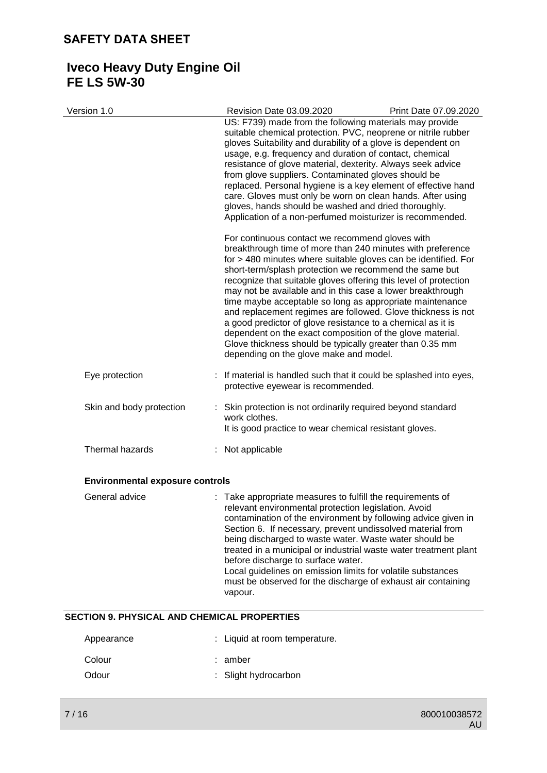# **Iveco Heavy Duty Engine Oil FE LS 5W-30**

| Version 1.0                            | Revision Date 03.09.2020                                                                                                                                                                                                                                                                                                                                                                                                                                                                                                                                                                                                                                                                                                                  | Print Date 07.09.2020 |
|----------------------------------------|-------------------------------------------------------------------------------------------------------------------------------------------------------------------------------------------------------------------------------------------------------------------------------------------------------------------------------------------------------------------------------------------------------------------------------------------------------------------------------------------------------------------------------------------------------------------------------------------------------------------------------------------------------------------------------------------------------------------------------------------|-----------------------|
|                                        | US: F739) made from the following materials may provide<br>suitable chemical protection. PVC, neoprene or nitrile rubber<br>gloves Suitability and durability of a glove is dependent on<br>usage, e.g. frequency and duration of contact, chemical<br>resistance of glove material, dexterity. Always seek advice<br>from glove suppliers. Contaminated gloves should be<br>replaced. Personal hygiene is a key element of effective hand<br>care. Gloves must only be worn on clean hands. After using<br>gloves, hands should be washed and dried thoroughly.<br>Application of a non-perfumed moisturizer is recommended.                                                                                                             |                       |
|                                        | For continuous contact we recommend gloves with<br>breakthrough time of more than 240 minutes with preference<br>for > 480 minutes where suitable gloves can be identified. For<br>short-term/splash protection we recommend the same but<br>recognize that suitable gloves offering this level of protection<br>may not be available and in this case a lower breakthrough<br>time maybe acceptable so long as appropriate maintenance<br>and replacement regimes are followed. Glove thickness is not<br>a good predictor of glove resistance to a chemical as it is<br>dependent on the exact composition of the glove material.<br>Glove thickness should be typically greater than 0.35 mm<br>depending on the glove make and model. |                       |
| Eye protection                         | If material is handled such that it could be splashed into eyes,<br>protective eyewear is recommended.                                                                                                                                                                                                                                                                                                                                                                                                                                                                                                                                                                                                                                    |                       |
| Skin and body protection               | : Skin protection is not ordinarily required beyond standard<br>work clothes.<br>It is good practice to wear chemical resistant gloves.                                                                                                                                                                                                                                                                                                                                                                                                                                                                                                                                                                                                   |                       |
| Thermal hazards                        | : Not applicable                                                                                                                                                                                                                                                                                                                                                                                                                                                                                                                                                                                                                                                                                                                          |                       |
| <b>Environmental exposure controls</b> |                                                                                                                                                                                                                                                                                                                                                                                                                                                                                                                                                                                                                                                                                                                                           |                       |
| General advice                         | : Take appropriate measures to fulfill the requirements of<br>relevant environmental protection legislation. Avoid<br>contamination of the environment by following advice given in<br>Section 6. If necessary, prevent undissolved material from<br>being discharged to waste water. Waste water should be<br>treated in a municipal or industrial waste water treatment plant<br>before discharge to surface water.<br>Local guidelines on emission limits for volatile substances<br>must be observed for the discharge of exhaust air containing<br>vapour.                                                                                                                                                                           |                       |

#### **SECTION 9. PHYSICAL AND CHEMICAL PROPERTIES**

| Appearance | : Liquid at room temperature. |
|------------|-------------------------------|
| Colour     | : amber                       |
| Odour      | : Slight hydrocarbon          |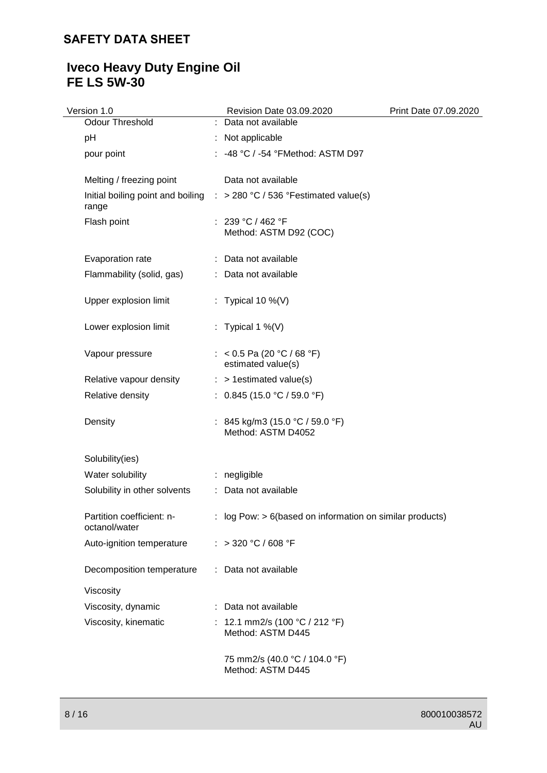# **Iveco Heavy Duty Engine Oil FE LS 5W-30**

| Version 1.0                                | Revision Date 03.09.2020                                                           | Print Date 07.09.2020 |
|--------------------------------------------|------------------------------------------------------------------------------------|-----------------------|
| Odour Threshold                            | : Data not available                                                               |                       |
| pH                                         | : Not applicable                                                                   |                       |
| pour point                                 | : -48 °C / -54 °FMethod: ASTM D97                                                  |                       |
| Melting / freezing point                   | Data not available                                                                 |                       |
| range                                      | Initial boiling point and boiling $\therefore$ > 280 °C / 536 °Festimated value(s) |                       |
| Flash point                                | : 239 °C / 462 °F<br>Method: ASTM D92 (COC)                                        |                       |
| Evaporation rate                           | : Data not available                                                               |                       |
| Flammability (solid, gas)                  | : Data not available                                                               |                       |
| Upper explosion limit                      | : Typical 10 %(V)                                                                  |                       |
| Lower explosion limit                      | : Typical 1 %(V)                                                                   |                       |
| Vapour pressure                            | : < 0.5 Pa (20 °C / 68 °F)<br>estimated value(s)                                   |                       |
| Relative vapour density                    | $:$ > 1 estimated value(s)                                                         |                       |
| Relative density                           | : $0.845(15.0 °C / 59.0 °F)$                                                       |                       |
| Density                                    | : 845 kg/m3 (15.0 °C / 59.0 °F)<br>Method: ASTM D4052                              |                       |
| Solubility(ies)                            |                                                                                    |                       |
| Water solubility                           | : negligible                                                                       |                       |
| Solubility in other solvents               | : Data not available                                                               |                       |
| Partition coefficient: n-<br>octanol/water | $\therefore$ log Pow: > 6(based on information on similar products)                |                       |
| Auto-ignition temperature                  | : > 320 °C / 608 °F                                                                |                       |
| Decomposition temperature                  | : Data not available                                                               |                       |
| Viscosity                                  |                                                                                    |                       |
| Viscosity, dynamic                         | : Data not available                                                               |                       |
| Viscosity, kinematic                       | : 12.1 mm2/s (100 °C / 212 °F)<br>Method: ASTM D445                                |                       |
|                                            | 75 mm2/s (40.0 °C / 104.0 °F)<br>Method: ASTM D445                                 |                       |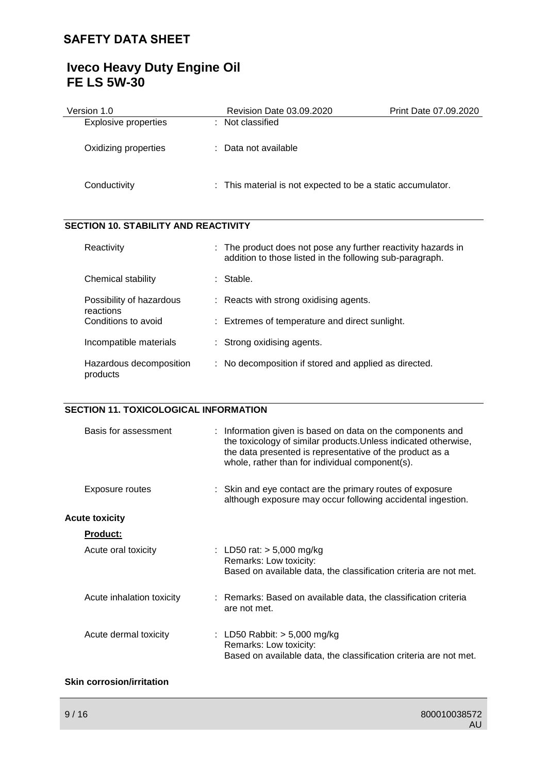# **Iveco Heavy Duty Engine Oil FE LS 5W-30**

| Version 1.0                           | <b>Revision Date 03.09.2020</b>                                                                                         | Print Date 07.09.2020 |
|---------------------------------------|-------------------------------------------------------------------------------------------------------------------------|-----------------------|
| <b>Explosive properties</b>           | Not classified                                                                                                          |                       |
| Oxidizing properties                  | Data not available                                                                                                      |                       |
| Conductivity                          | This material is not expected to be a static accumulator.                                                               |                       |
| SECTION 10. STABILITY AND REACTIVITY  |                                                                                                                         |                       |
| Reactivity                            | The product does not pose any further reactivity hazards in<br>addition to those listed in the following sub-paragraph. |                       |
| Chemical stability                    | : Stable.                                                                                                               |                       |
| Possibility of hazardous<br>reactions | Reacts with strong oxidising agents.                                                                                    |                       |
| Conditions to avoid                   | : Extremes of temperature and direct sunlight.                                                                          |                       |
| Incompatible materials                | : Strong oxidising agents.                                                                                              |                       |
| Hazardous decomposition<br>products   | : No decomposition if stored and applied as directed.                                                                   |                       |

### **SECTION 11. TOXICOLOGICAL INFORMATION**

| Basis for assessment      | : Information given is based on data on the components and<br>the toxicology of similar products. Unless indicated otherwise,<br>the data presented is representative of the product as a<br>whole, rather than for individual component(s). |
|---------------------------|----------------------------------------------------------------------------------------------------------------------------------------------------------------------------------------------------------------------------------------------|
| Exposure routes           | : Skin and eye contact are the primary routes of exposure<br>although exposure may occur following accidental ingestion.                                                                                                                     |
| <b>Acute toxicity</b>     |                                                                                                                                                                                                                                              |
| <u>Product:</u>           |                                                                                                                                                                                                                                              |
| Acute oral toxicity       | : LD50 rat: $> 5,000$ mg/kg<br>Remarks: Low toxicity:<br>Based on available data, the classification criteria are not met.                                                                                                                   |
| Acute inhalation toxicity | : Remarks: Based on available data, the classification criteria<br>are not met.                                                                                                                                                              |
| Acute dermal toxicity     | : LD50 Rabbit: $>$ 5,000 mg/kg<br>Remarks: Low toxicity:<br>Based on available data, the classification criteria are not met.                                                                                                                |

### **Skin corrosion/irritation**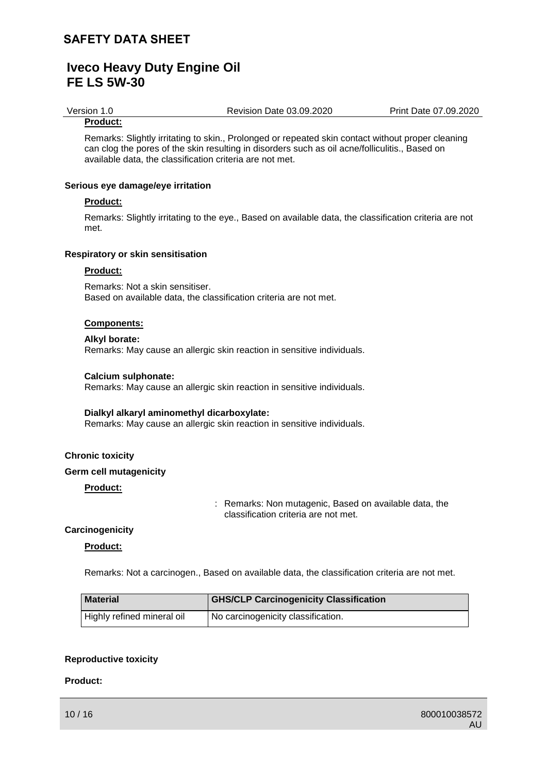Version 1.0 Revision Date 03.09.2020 Print Date 07.09.2020

### **Product:**

Remarks: Slightly irritating to skin., Prolonged or repeated skin contact without proper cleaning can clog the pores of the skin resulting in disorders such as oil acne/folliculitis., Based on available data, the classification criteria are not met.

#### **Serious eye damage/eye irritation**

#### **Product:**

Remarks: Slightly irritating to the eye., Based on available data, the classification criteria are not met.

#### **Respiratory or skin sensitisation**

#### **Product:**

Remarks: Not a skin sensitiser. Based on available data, the classification criteria are not met.

#### **Components:**

#### **Alkyl borate:** Remarks: May cause an allergic skin reaction in sensitive individuals.

#### **Calcium sulphonate:**

Remarks: May cause an allergic skin reaction in sensitive individuals.

#### **Dialkyl alkaryl aminomethyl dicarboxylate:**

Remarks: May cause an allergic skin reaction in sensitive individuals.

#### **Chronic toxicity**

#### **Germ cell mutagenicity**

**Product:**

: Remarks: Non mutagenic, Based on available data, the classification criteria are not met.

#### **Carcinogenicity**

#### **Product:**

Remarks: Not a carcinogen., Based on available data, the classification criteria are not met.

| <b>Material</b>            | <b>GHS/CLP Carcinogenicity Classification</b> |
|----------------------------|-----------------------------------------------|
| Highly refined mineral oil | No carcinogenicity classification.            |

#### **Reproductive toxicity**

#### **Product:**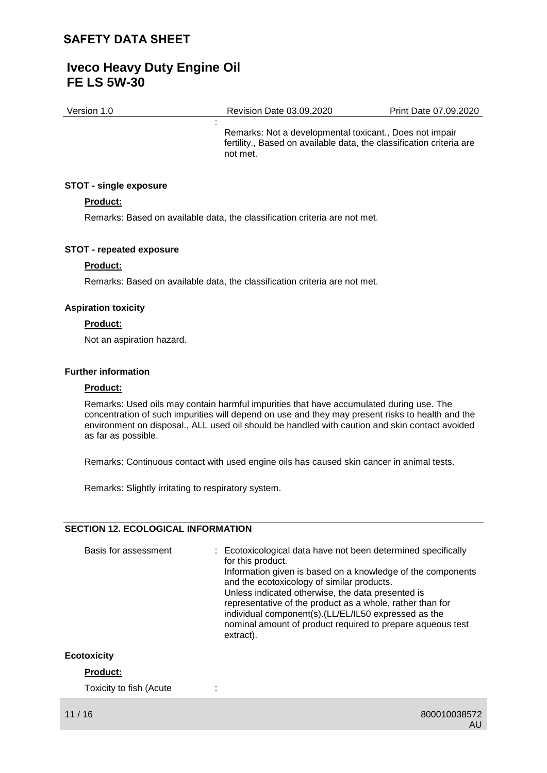Version 1.0 Revision Date 03.09.2020 Print Date 07.09.2020

Remarks: Not a developmental toxicant., Does not impair fertility., Based on available data, the classification criteria are not met.

#### **STOT - single exposure**

#### **Product:**

Remarks: Based on available data, the classification criteria are not met.

:

#### **STOT - repeated exposure**

#### **Product:**

Remarks: Based on available data, the classification criteria are not met.

#### **Aspiration toxicity**

#### **Product:**

Not an aspiration hazard.

#### **Further information**

#### **Product:**

Remarks: Used oils may contain harmful impurities that have accumulated during use. The concentration of such impurities will depend on use and they may present risks to health and the environment on disposal., ALL used oil should be handled with caution and skin contact avoided as far as possible.

Remarks: Continuous contact with used engine oils has caused skin cancer in animal tests.

Remarks: Slightly irritating to respiratory system.

### **SECTION 12. ECOLOGICAL INFORMATION**

| Basis for assessment | : Ecotoxicological data have not been determined specifically<br>for this product.<br>Information given is based on a knowledge of the components<br>and the ecotoxicology of similar products.<br>Unless indicated otherwise, the data presented is<br>representative of the product as a whole, rather than for<br>individual component(s). (LL/EL/IL50 expressed as the<br>nominal amount of product required to prepare aqueous test<br>extract). |
|----------------------|-------------------------------------------------------------------------------------------------------------------------------------------------------------------------------------------------------------------------------------------------------------------------------------------------------------------------------------------------------------------------------------------------------------------------------------------------------|
|----------------------|-------------------------------------------------------------------------------------------------------------------------------------------------------------------------------------------------------------------------------------------------------------------------------------------------------------------------------------------------------------------------------------------------------------------------------------------------------|

### **Ecotoxicity**

### **Product:**

Toxicity to fish (Acute :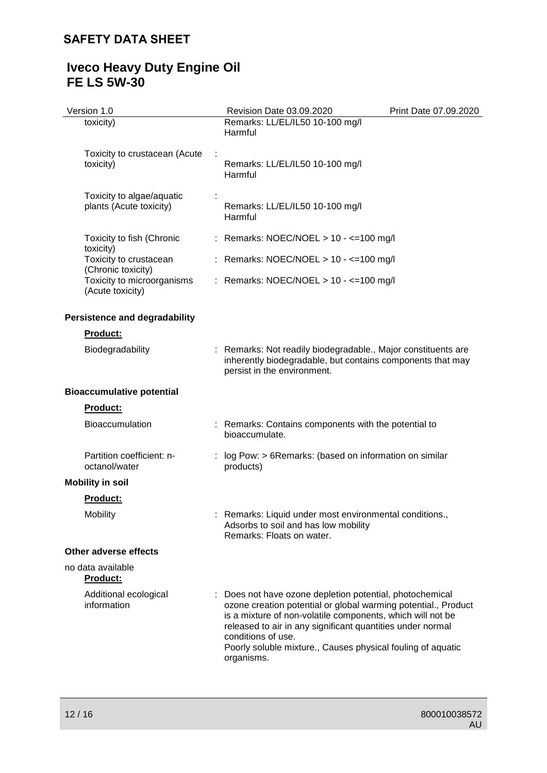### **Iveco Heavy Duty Engine Oil FE LS 5W-30**

| Version 1.0                                          | Revision Date 03.09.2020                                                                                                                                                                                                                                                                                                                                | Print Date 07.09.2020 |
|------------------------------------------------------|---------------------------------------------------------------------------------------------------------------------------------------------------------------------------------------------------------------------------------------------------------------------------------------------------------------------------------------------------------|-----------------------|
| toxicity)                                            | Remarks: LL/EL/IL50 10-100 mg/l<br>Harmful                                                                                                                                                                                                                                                                                                              |                       |
| Toxicity to crustacean (Acute<br>toxicity)           | Remarks: LL/EL/IL50 10-100 mg/l<br>Harmful                                                                                                                                                                                                                                                                                                              |                       |
| Toxicity to algae/aquatic<br>plants (Acute toxicity) | Remarks: LL/EL/IL50 10-100 mg/l<br>Harmful                                                                                                                                                                                                                                                                                                              |                       |
| Toxicity to fish (Chronic<br>toxicity)               | : Remarks: NOEC/NOEL > $10 - \le 100$ mg/l                                                                                                                                                                                                                                                                                                              |                       |
| Toxicity to crustacean<br>(Chronic toxicity)         | : Remarks: NOEC/NOEL > 10 - <= 100 mg/l                                                                                                                                                                                                                                                                                                                 |                       |
| Toxicity to microorganisms<br>(Acute toxicity)       | : Remarks: NOEC/NOEL > 10 - <= 100 mg/l                                                                                                                                                                                                                                                                                                                 |                       |
| <b>Persistence and degradability</b>                 |                                                                                                                                                                                                                                                                                                                                                         |                       |
| Product:                                             |                                                                                                                                                                                                                                                                                                                                                         |                       |
| Biodegradability                                     | Remarks: Not readily biodegradable., Major constituents are<br>inherently biodegradable, but contains components that may<br>persist in the environment.                                                                                                                                                                                                |                       |
| <b>Bioaccumulative potential</b>                     |                                                                                                                                                                                                                                                                                                                                                         |                       |
| Product:                                             |                                                                                                                                                                                                                                                                                                                                                         |                       |
| <b>Bioaccumulation</b>                               | : Remarks: Contains components with the potential to<br>bioaccumulate.                                                                                                                                                                                                                                                                                  |                       |
| Partition coefficient: n-<br>octanol/water           | : log Pow: > 6Remarks: (based on information on similar<br>products)                                                                                                                                                                                                                                                                                    |                       |
| <b>Mobility in soil</b>                              |                                                                                                                                                                                                                                                                                                                                                         |                       |
| <b>Product:</b>                                      |                                                                                                                                                                                                                                                                                                                                                         |                       |
| Mobility                                             | : Remarks: Liquid under most environmental conditions.,<br>Adsorbs to soil and has low mobility<br>Remarks: Floats on water.                                                                                                                                                                                                                            |                       |
| Other adverse effects                                |                                                                                                                                                                                                                                                                                                                                                         |                       |
| no data available<br><b>Product:</b>                 |                                                                                                                                                                                                                                                                                                                                                         |                       |
| Additional ecological<br>information                 | Does not have ozone depletion potential, photochemical<br>ozone creation potential or global warming potential., Product<br>is a mixture of non-volatile components, which will not be<br>released to air in any significant quantities under normal<br>conditions of use.<br>Poorly soluble mixture., Causes physical fouling of aquatic<br>organisms. |                       |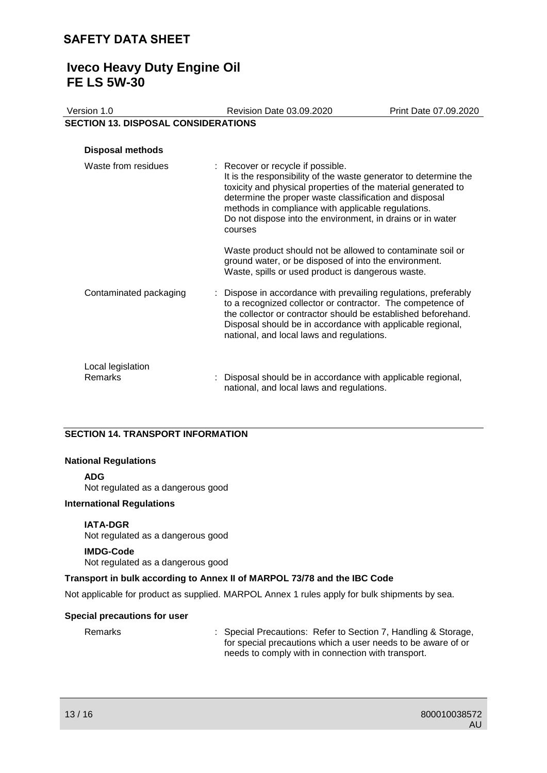### **Iveco Heavy Duty Engine Oil FE LS 5W-30**

| Version 1.0                                | Revision Date 03.09.2020                                                                                                                                                                                                                                                                                                                                        | Print Date 07.09.2020 |
|--------------------------------------------|-----------------------------------------------------------------------------------------------------------------------------------------------------------------------------------------------------------------------------------------------------------------------------------------------------------------------------------------------------------------|-----------------------|
| <b>SECTION 13. DISPOSAL CONSIDERATIONS</b> |                                                                                                                                                                                                                                                                                                                                                                 |                       |
|                                            |                                                                                                                                                                                                                                                                                                                                                                 |                       |
| <b>Disposal methods</b>                    |                                                                                                                                                                                                                                                                                                                                                                 |                       |
| Waste from residues                        | : Recover or recycle if possible.<br>It is the responsibility of the waste generator to determine the<br>toxicity and physical properties of the material generated to<br>determine the proper waste classification and disposal<br>methods in compliance with applicable regulations.<br>Do not dispose into the environment, in drains or in water<br>courses |                       |
|                                            | Waste product should not be allowed to contaminate soil or<br>ground water, or be disposed of into the environment.<br>Waste, spills or used product is dangerous waste.                                                                                                                                                                                        |                       |
| Contaminated packaging                     | Dispose in accordance with prevailing regulations, preferably<br>to a recognized collector or contractor. The competence of<br>the collector or contractor should be established beforehand.<br>Disposal should be in accordance with applicable regional,<br>national, and local laws and regulations.                                                         |                       |
| Local legislation<br>Remarks               | Disposal should be in accordance with applicable regional,<br>national, and local laws and regulations.                                                                                                                                                                                                                                                         |                       |

### **SECTION 14. TRANSPORT INFORMATION**

#### **National Regulations**

#### **ADG**

Not regulated as a dangerous good

#### **International Regulations**

#### **IATA-DGR**

Not regulated as a dangerous good

#### **IMDG-Code**

Not regulated as a dangerous good

### **Transport in bulk according to Annex II of MARPOL 73/78 and the IBC Code**

Not applicable for product as supplied. MARPOL Annex 1 rules apply for bulk shipments by sea.

#### **Special precautions for user**

Remarks : Special Precautions: Refer to Section 7, Handling & Storage, for special precautions which a user needs to be aware of or needs to comply with in connection with transport.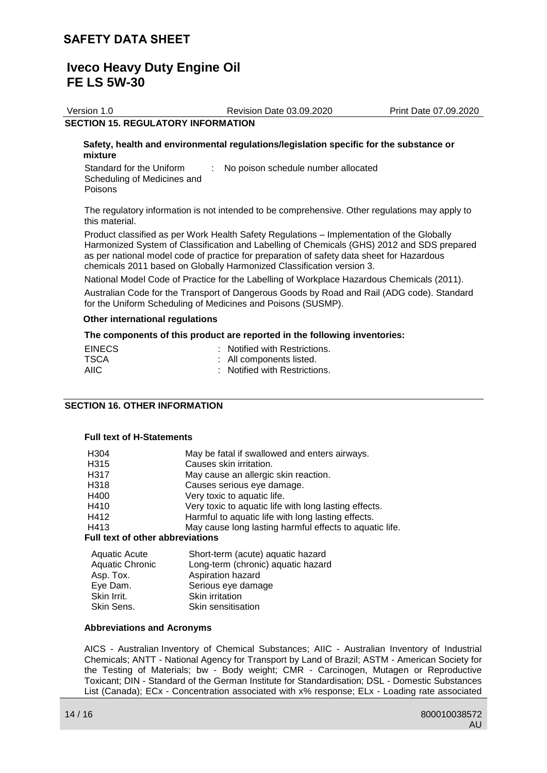Version 1.0 Revision Date 03.09.2020 Print Date 07.09.2020

#### **SECTION 15. REGULATORY INFORMATION**

#### **Safety, health and environmental regulations/legislation specific for the substance or mixture**

Standard for the Uniform Scheduling of Medicines and Poisons : No poison schedule number allocated

The regulatory information is not intended to be comprehensive. Other regulations may apply to this material.

Product classified as per Work Health Safety Regulations – Implementation of the Globally Harmonized System of Classification and Labelling of Chemicals (GHS) 2012 and SDS prepared as per national model code of practice for preparation of safety data sheet for Hazardous chemicals 2011 based on Globally Harmonized Classification version 3.

National Model Code of Practice for the Labelling of Workplace Hazardous Chemicals (2011).

Australian Code for the Transport of Dangerous Goods by Road and Rail (ADG code). Standard for the Uniform Scheduling of Medicines and Poisons (SUSMP).

#### **Other international regulations**

#### **The components of this product are reported in the following inventories:**

| <b>EINECS</b> | : Notified with Restrictions. |
|---------------|-------------------------------|
| TSCA          | : All components listed.      |
| AIIC.         | : Notified with Restrictions. |

#### **SECTION 16. OTHER INFORMATION**

#### **Full text of H-Statements**

| H <sub>304</sub>                        | May be fatal if swallowed and enters airways.                           |  |  |  |
|-----------------------------------------|-------------------------------------------------------------------------|--|--|--|
| H315                                    | Causes skin irritation.                                                 |  |  |  |
| H317                                    | May cause an allergic skin reaction.                                    |  |  |  |
| H318                                    | Causes serious eye damage.                                              |  |  |  |
| H400                                    | Very toxic to aquatic life.                                             |  |  |  |
| H410                                    | Very toxic to aquatic life with long lasting effects.                   |  |  |  |
| H412                                    | Harmful to aquatic life with long lasting effects.                      |  |  |  |
| H413                                    | May cause long lasting harmful effects to aquatic life.                 |  |  |  |
| <b>Full text of other abbreviations</b> |                                                                         |  |  |  |
| <b>Aquatic Acute</b><br>Aquatic Chronic | Short-term (acute) aquatic hazard<br>Long torm (obrania) aquatio bazard |  |  |  |

| <b>Aquatic Chronic</b> | Long-term (chronic) aquatic hazard |
|------------------------|------------------------------------|
| Asp. Tox.              | Aspiration hazard                  |
| Eye Dam.               | Serious eye damage                 |
| Skin Irrit.            | <b>Skin irritation</b>             |
| Skin Sens.             | Skin sensitisation                 |
|                        |                                    |

#### **Abbreviations and Acronyms**

AICS - Australian Inventory of Chemical Substances; AIIC - Australian Inventory of Industrial Chemicals; ANTT - National Agency for Transport by Land of Brazil; ASTM - American Society for the Testing of Materials; bw - Body weight; CMR - Carcinogen, Mutagen or Reproductive Toxicant; DIN - Standard of the German Institute for Standardisation; DSL - Domestic Substances List (Canada); ECx - Concentration associated with x% response; ELx - Loading rate associated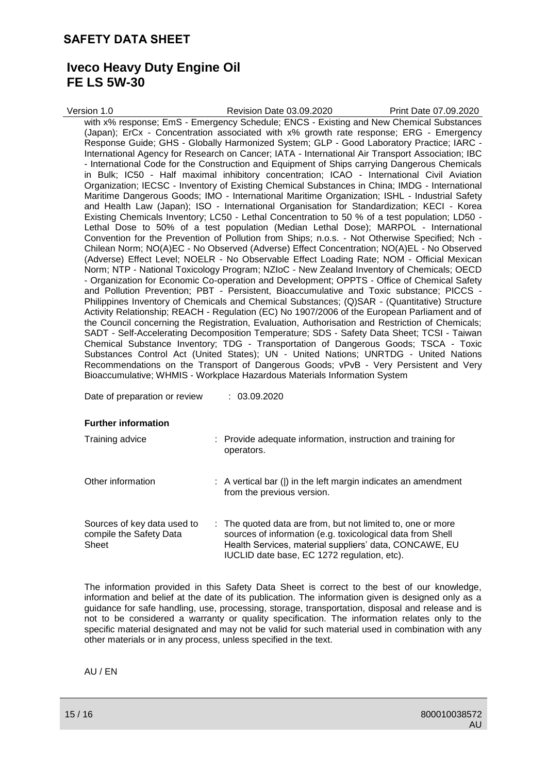### **Iveco Heavy Duty Engine Oil FE LS 5W-30**

| Version 1.0 | Revision Date 03.09.2020                                                                                                                                                                 | Print Date 07.09.2020 |
|-------------|------------------------------------------------------------------------------------------------------------------------------------------------------------------------------------------|-----------------------|
|             | with x% response; EmS - Emergency Schedule; ENCS - Existing and New Chemical Substances                                                                                                  |                       |
|             | (Japan); ErCx - Concentration associated with x% growth rate response; ERG - Emergency                                                                                                   |                       |
|             | Response Guide; GHS - Globally Harmonized System; GLP - Good Laboratory Practice; IARC -                                                                                                 |                       |
|             | International Agency for Research on Cancer; IATA - International Air Transport Association; IBC                                                                                         |                       |
|             | - International Code for the Construction and Equipment of Ships carrying Dangerous Chemicals                                                                                            |                       |
|             | in Bulk; IC50 - Half maximal inhibitory concentration; ICAO - International Civil Aviation                                                                                               |                       |
|             | Organization; IECSC - Inventory of Existing Chemical Substances in China; IMDG - International                                                                                           |                       |
|             | Maritime Dangerous Goods; IMO - International Maritime Organization; ISHL - Industrial Safety                                                                                            |                       |
|             | and Health Law (Japan); ISO - International Organisation for Standardization; KECI - Korea                                                                                               |                       |
|             | Existing Chemicals Inventory; LC50 - Lethal Concentration to 50 % of a test population; LD50 -                                                                                           |                       |
|             | Lethal Dose to 50% of a test population (Median Lethal Dose); MARPOL - International                                                                                                     |                       |
|             | Convention for the Prevention of Pollution from Ships; n.o.s. - Not Otherwise Specified; Nch -                                                                                           |                       |
|             | Chilean Norm; NO(A)EC - No Observed (Adverse) Effect Concentration; NO(A)EL - No Observed                                                                                                |                       |
|             | (Adverse) Effect Level; NOELR - No Observable Effect Loading Rate; NOM - Official Mexican                                                                                                |                       |
|             | Norm; NTP - National Toxicology Program; NZIoC - New Zealand Inventory of Chemicals; OECD<br>- Organization for Economic Co-operation and Development; OPPTS - Office of Chemical Safety |                       |
|             | and Pollution Prevention; PBT - Persistent, Bioaccumulative and Toxic substance; PICCS -                                                                                                 |                       |
|             | Philippines Inventory of Chemicals and Chemical Substances; (Q)SAR - (Quantitative) Structure                                                                                            |                       |
|             | Activity Relationship; REACH - Regulation (EC) No 1907/2006 of the European Parliament and of                                                                                            |                       |
|             | the Council concerning the Registration, Evaluation, Authorisation and Restriction of Chemicals;                                                                                         |                       |
|             | SADT - Self-Accelerating Decomposition Temperature; SDS - Safety Data Sheet; TCSI - Taiwan                                                                                               |                       |
|             | Chemical Substance Inventory; TDG - Transportation of Dangerous Goods; TSCA - Toxic                                                                                                      |                       |
|             | Substances Control Act (United States); UN - United Nations; UNRTDG - United Nations                                                                                                     |                       |
|             | Recommendations on the Transport of Dangerous Goods; vPvB - Very Persistent and Very                                                                                                     |                       |
|             | Bioaccumulative; WHMIS - Workplace Hazardous Materials Information System                                                                                                                |                       |
|             |                                                                                                                                                                                          |                       |

Date of preparation or review : 03.09.2020

#### **Further information**

| Training advice                                                 | : Provide adequate information, instruction and training for<br>operators.                                                                                                                                                         |
|-----------------------------------------------------------------|------------------------------------------------------------------------------------------------------------------------------------------------------------------------------------------------------------------------------------|
| Other information                                               | $\therefore$ A vertical bar ( ) in the left margin indicates an amendment<br>from the previous version.                                                                                                                            |
| Sources of key data used to<br>compile the Safety Data<br>Sheet | : The quoted data are from, but not limited to, one or more<br>sources of information (e.g. toxicological data from Shell<br>Health Services, material suppliers' data, CONCAWE, EU<br>IUCLID date base, EC 1272 regulation, etc). |

The information provided in this Safety Data Sheet is correct to the best of our knowledge, information and belief at the date of its publication. The information given is designed only as a guidance for safe handling, use, processing, storage, transportation, disposal and release and is not to be considered a warranty or quality specification. The information relates only to the specific material designated and may not be valid for such material used in combination with any other materials or in any process, unless specified in the text.

AU / EN